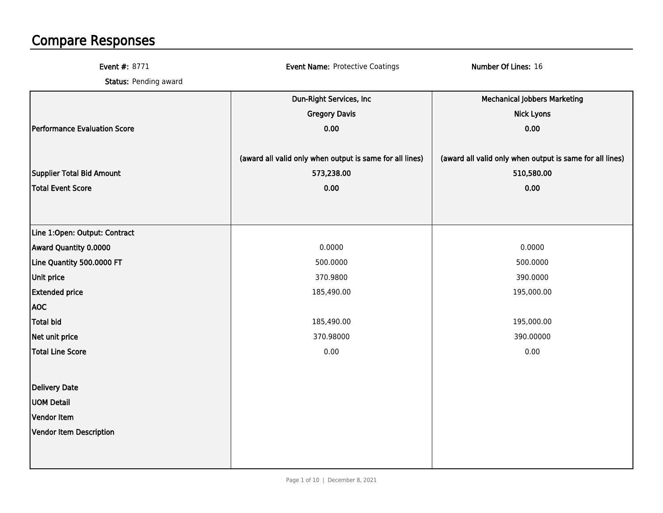## Compare Responses

| <b>Event #: 8771</b>          | <b>Event Name: Protective Coatings</b>                   | Number Of Lines: 16                                      |
|-------------------------------|----------------------------------------------------------|----------------------------------------------------------|
| Status: Pending award         |                                                          |                                                          |
|                               | Dun-Right Services, Inc                                  | <b>Mechanical Jobbers Marketing</b>                      |
|                               | <b>Gregory Davis</b>                                     | <b>Nick Lyons</b>                                        |
| Performance Evaluation Score  | 0.00                                                     | 0.00                                                     |
|                               | (award all valid only when output is same for all lines) | (award all valid only when output is same for all lines) |
| Supplier Total Bid Amount     | 573,238.00                                               | 510,580.00                                               |
| Total Event Score             | 0.00                                                     | 0.00                                                     |
|                               |                                                          |                                                          |
| Line 1:Open: Output: Contract |                                                          |                                                          |
| Award Quantity 0.0000         | 0.0000                                                   | 0.0000                                                   |
| Line Quantity 500.0000 FT     | 500.0000                                                 | 500.0000                                                 |
| Unit price                    | 370.9800                                                 | 390.0000                                                 |
| <b>Extended price</b>         | 185,490.00                                               | 195,000.00                                               |
| <b>AOC</b>                    |                                                          |                                                          |
| <b>Total bid</b>              | 185,490.00                                               | 195,000.00                                               |
| Net unit price                | 370.98000                                                | 390.00000                                                |
| Total Line Score              | 0.00                                                     | 0.00                                                     |
| <b>Delivery Date</b>          |                                                          |                                                          |
| <b>UOM Detail</b>             |                                                          |                                                          |
| Vendor Item                   |                                                          |                                                          |
| Vendor Item Description       |                                                          |                                                          |
|                               |                                                          |                                                          |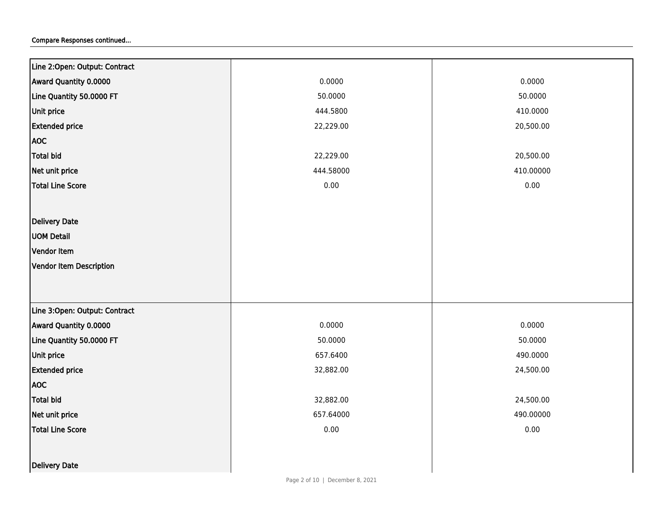| Line 2:Open: Output: Contract |           |           |
|-------------------------------|-----------|-----------|
| Award Quantity 0.0000         | 0.0000    | 0.0000    |
| Line Quantity 50.0000 FT      | 50.0000   | 50.0000   |
| Unit price                    | 444.5800  | 410.0000  |
| <b>Extended price</b>         | 22,229.00 | 20,500.00 |
| <b>AOC</b>                    |           |           |
| <b>Total bid</b>              | 22,229.00 | 20,500.00 |
| Net unit price                | 444.58000 | 410.00000 |
| <b>Total Line Score</b>       | $0.00\,$  | 0.00      |
|                               |           |           |
| Delivery Date                 |           |           |
| <b>UOM Detail</b>             |           |           |
| Vendor Item                   |           |           |
| Vendor Item Description       |           |           |
|                               |           |           |
|                               |           |           |
| Line 3:Open: Output: Contract |           |           |
| Award Quantity 0.0000         | 0.0000    | 0.0000    |
| Line Quantity 50.0000 FT      | 50.0000   | 50.0000   |
| Unit price                    | 657.6400  | 490.0000  |
| <b>Extended price</b>         | 32,882.00 | 24,500.00 |
| <b>AOC</b>                    |           |           |
| <b>Total bid</b>              | 32,882.00 | 24,500.00 |
| Net unit price                | 657.64000 | 490.00000 |
| <b>Total Line Score</b>       | $0.00\,$  | 0.00      |
|                               |           |           |
| <b>Delivery Date</b>          |           |           |
|                               |           |           |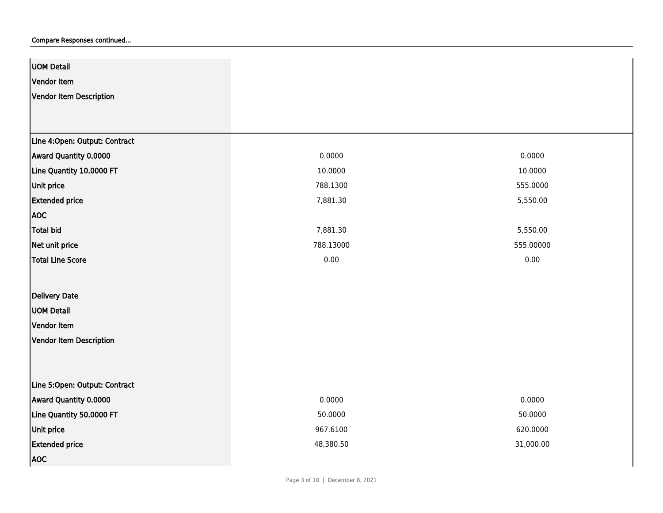| UOM Detail                    |           |           |
|-------------------------------|-----------|-----------|
| Vendor Item                   |           |           |
| Vendor Item Description       |           |           |
|                               |           |           |
|                               |           |           |
| Line 4:Open: Output: Contract |           |           |
| Award Quantity 0.0000         | 0.0000    | 0.0000    |
| Line Quantity 10.0000 FT      | 10.0000   | 10.0000   |
| <b>Unit price</b>             | 788.1300  | 555.0000  |
| <b>Extended price</b>         | 7,881.30  | 5,550.00  |
| <b>AOC</b>                    |           |           |
| Total bid                     | 7,881.30  | 5,550.00  |
| Net unit price                | 788.13000 | 555.00000 |
| Total Line Score              | 0.00      | 0.00      |
|                               |           |           |
| Delivery Date                 |           |           |
| <b>UOM Detail</b>             |           |           |
| Vendor Item                   |           |           |
| Vendor Item Description       |           |           |
|                               |           |           |
|                               |           |           |
| Line 5:Open: Output: Contract |           |           |
| Award Quantity 0.0000         | 0.0000    | 0.0000    |
| Line Quantity 50.0000 FT      | 50.0000   | 50.0000   |
| Unit price                    | 967.6100  | 620.0000  |
| <b>Extended price</b>         | 48,380.50 | 31,000.00 |
| <b>AOC</b>                    |           |           |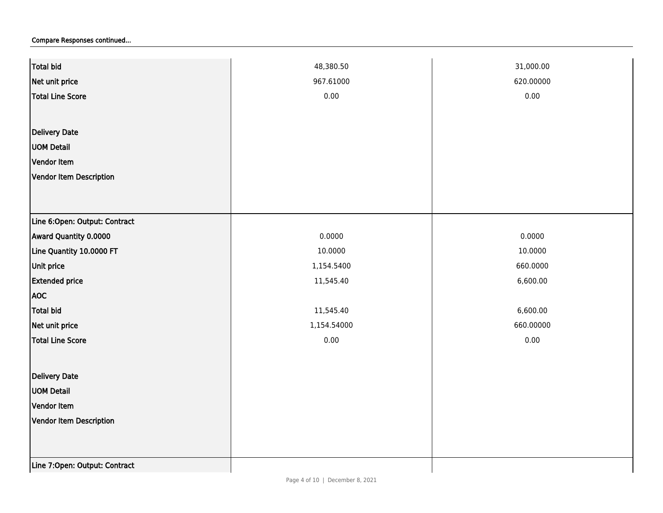| <b>Total bid</b>              | 48,380.50   | 31,000.00 |
|-------------------------------|-------------|-----------|
| Net unit price                | 967.61000   | 620.00000 |
| <b>Total Line Score</b>       | 0.00        | 0.00      |
|                               |             |           |
| <b>Delivery Date</b>          |             |           |
| <b>UOM Detail</b>             |             |           |
| Vendor Item                   |             |           |
| Vendor Item Description       |             |           |
|                               |             |           |
|                               |             |           |
| Line 6:Open: Output: Contract |             |           |
| Award Quantity 0.0000         | 0.0000      | 0.0000    |
| Line Quantity 10.0000 FT      | 10.0000     | 10.0000   |
| Unit price                    | 1,154.5400  | 660.0000  |
| <b>Extended price</b>         | 11,545.40   | 6,600.00  |
| <b>AOC</b>                    |             |           |
| <b>Total bid</b>              | 11,545.40   | 6,600.00  |
| Net unit price                | 1,154.54000 | 660.00000 |
| <b>Total Line Score</b>       | 0.00        | 0.00      |
|                               |             |           |
| <b>Delivery Date</b>          |             |           |
| <b>UOM Detail</b>             |             |           |
| Vendor Item                   |             |           |
| Vendor Item Description       |             |           |
|                               |             |           |
|                               |             |           |
| Line 7:Open: Output: Contract |             |           |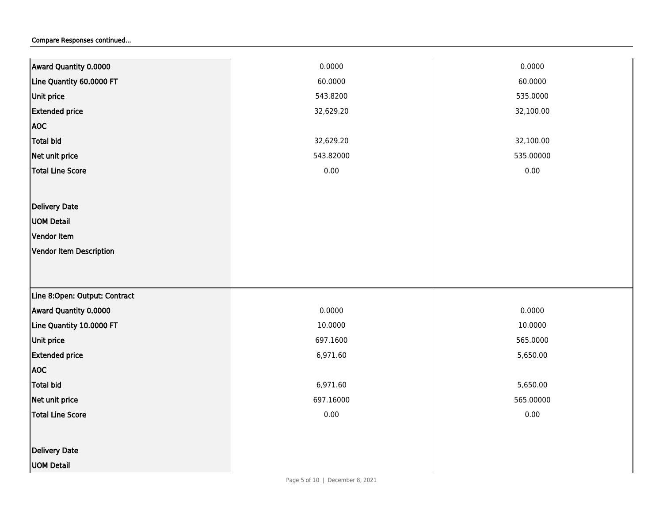| Award Quantity 0.0000         | 0.0000    | 0.0000    |
|-------------------------------|-----------|-----------|
| Line Quantity 60.0000 FT      | 60.0000   | 60.0000   |
| <b>Unit price</b>             | 543.8200  | 535.0000  |
| <b>Extended price</b>         | 32,629.20 | 32,100.00 |
| <b>AOC</b>                    |           |           |
| <b>Total bid</b>              | 32,629.20 | 32,100.00 |
| Net unit price                | 543.82000 | 535.00000 |
| <b>Total Line Score</b>       | $0.00\,$  | $0.00\,$  |
|                               |           |           |
| Delivery Date                 |           |           |
| <b>UOM Detail</b>             |           |           |
| Vendor Item                   |           |           |
| Vendor Item Description       |           |           |
|                               |           |           |
|                               |           |           |
| Line 8:Open: Output: Contract |           |           |
| Award Quantity 0.0000         | 0.0000    | 0.0000    |
| Line Quantity 10.0000 FT      | 10.0000   | 10.0000   |
| Unit price                    | 697.1600  | 565.0000  |
| <b>Extended price</b>         | 6,971.60  | 5,650.00  |
| <b>AOC</b>                    |           |           |
| <b>Total bid</b>              | 6,971.60  | 5,650.00  |
| Net unit price                | 697.16000 | 565.00000 |
| <b>Total Line Score</b>       | $0.00\,$  | 0.00      |
|                               |           |           |
| Delivery Date                 |           |           |
| <b>UOM Detail</b>             |           |           |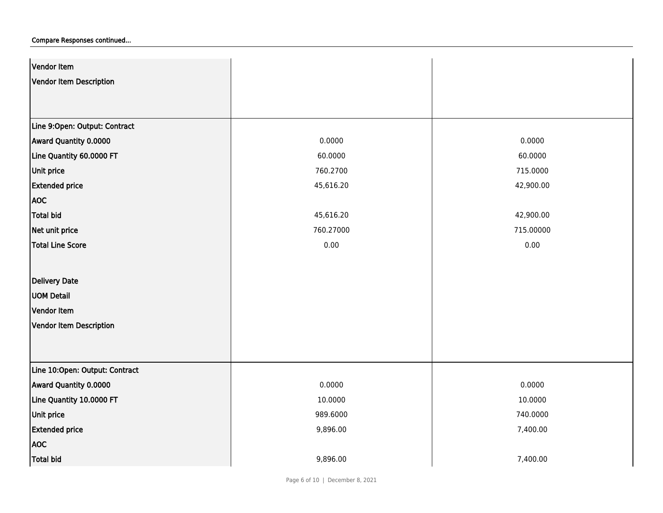| Vendor Item                    |           |           |
|--------------------------------|-----------|-----------|
| Vendor Item Description        |           |           |
|                                |           |           |
|                                |           |           |
| Line 9:Open: Output: Contract  |           |           |
| Award Quantity 0.0000          | 0.0000    | 0.0000    |
| Line Quantity 60.0000 FT       | 60.0000   | 60.0000   |
| Unit price                     | 760.2700  | 715.0000  |
| <b>Extended price</b>          | 45,616.20 | 42,900.00 |
| <b>AOC</b>                     |           |           |
| Total bid                      | 45,616.20 | 42,900.00 |
| Net unit price                 | 760.27000 | 715.00000 |
| <b>Total Line Score</b>        | 0.00      | 0.00      |
|                                |           |           |
| Delivery Date                  |           |           |
| <b>UOM Detail</b>              |           |           |
| Vendor Item                    |           |           |
| Vendor Item Description        |           |           |
|                                |           |           |
|                                |           |           |
| Line 10:Open: Output: Contract |           |           |
| Award Quantity 0.0000          | 0.0000    | 0.0000    |
| Line Quantity 10.0000 FT       | 10.0000   | 10.0000   |
| <b>Unit price</b>              | 989.6000  | 740.0000  |
| <b>Extended price</b>          | 9,896.00  | 7,400.00  |
| <b>AOC</b>                     |           |           |
| <b>Total bid</b>               | 9,896.00  | 7,400.00  |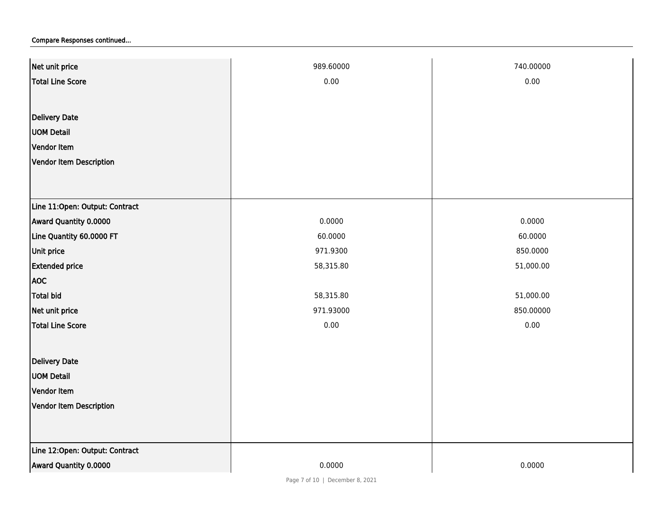| Net unit price                 | 989.60000 | 740.00000 |
|--------------------------------|-----------|-----------|
| Total Line Score               | 0.00      | 0.00      |
|                                |           |           |
| <b>Delivery Date</b>           |           |           |
| <b>UOM Detail</b>              |           |           |
| Vendor Item                    |           |           |
| Vendor Item Description        |           |           |
|                                |           |           |
|                                |           |           |
| Line 11:Open: Output: Contract |           |           |
| Award Quantity 0.0000          | 0.0000    | 0.0000    |
| Line Quantity 60.0000 FT       | 60.0000   | 60.0000   |
| Unit price                     | 971.9300  | 850.0000  |
| <b>Extended price</b>          | 58,315.80 | 51,000.00 |
| <b>AOC</b>                     |           |           |
| Total bid                      | 58,315.80 | 51,000.00 |
| Net unit price                 | 971.93000 | 850.00000 |
| <b>Total Line Score</b>        | 0.00      | 0.00      |
|                                |           |           |
| <b>Delivery Date</b>           |           |           |
| <b>UOM Detail</b>              |           |           |
| Vendor Item                    |           |           |
| Vendor Item Description        |           |           |
|                                |           |           |
|                                |           |           |
| Line 12:Open: Output: Contract |           |           |
| Award Quantity 0.0000          | 0.0000    | 0.0000    |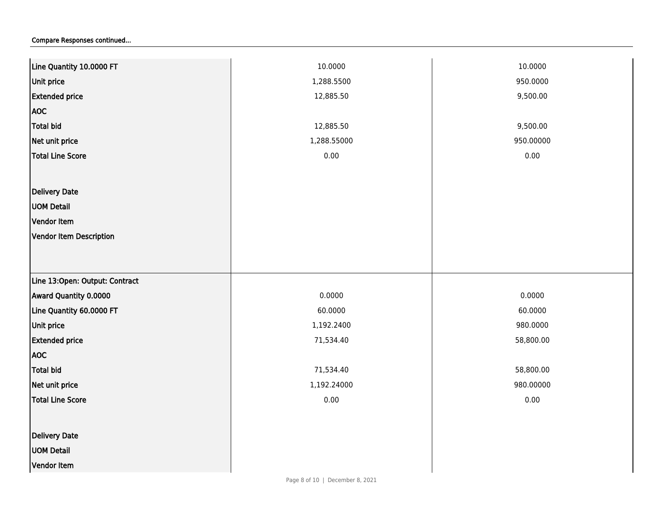| Line Quantity 10.0000 FT       | 10.0000     | 10.0000   |
|--------------------------------|-------------|-----------|
| Unit price                     | 1,288.5500  | 950.0000  |
| <b>Extended price</b>          | 12,885.50   | 9,500.00  |
| <b>AOC</b>                     |             |           |
| <b>Total bid</b>               | 12,885.50   | 9,500.00  |
| Net unit price                 | 1,288.55000 | 950.00000 |
| Total Line Score               | 0.00        | 0.00      |
|                                |             |           |
| Delivery Date                  |             |           |
| <b>UOM Detail</b>              |             |           |
| Vendor Item                    |             |           |
| Vendor Item Description        |             |           |
|                                |             |           |
|                                |             |           |
| Line 13:Open: Output: Contract |             |           |
| Award Quantity 0.0000          | 0.0000      | 0.0000    |
| Line Quantity 60.0000 FT       | 60.0000     | 60.0000   |
| Unit price                     | 1,192.2400  | 980.0000  |
| <b>Extended price</b>          | 71,534.40   | 58,800.00 |
| <b>AOC</b>                     |             |           |
| <b>Total bid</b>               | 71,534.40   | 58,800.00 |
| Net unit price                 | 1,192.24000 | 980.00000 |
| <b>Total Line Score</b>        | 0.00        | 0.00      |
|                                |             |           |
| <b>Delivery Date</b>           |             |           |
| <b>UOM Detail</b>              |             |           |
| Vendor Item                    |             |           |
|                                |             |           |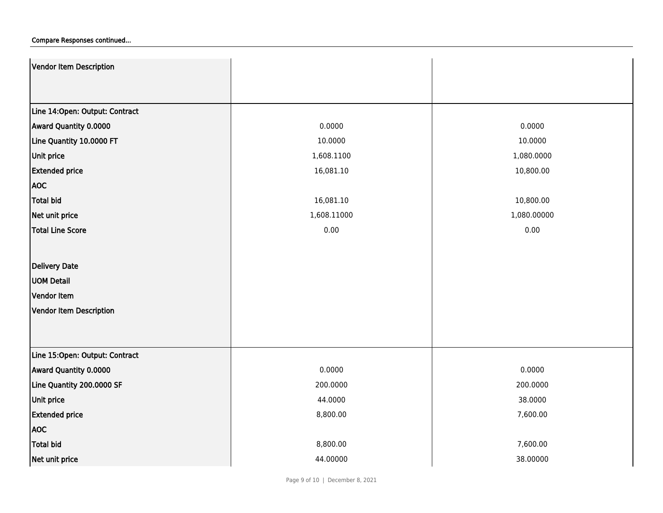| Vendor Item Description        |             |             |
|--------------------------------|-------------|-------------|
|                                |             |             |
| Line 14:Open: Output: Contract |             |             |
| Award Quantity 0.0000          | 0.0000      | 0.0000      |
| Line Quantity 10.0000 FT       | 10.0000     | 10.0000     |
| Unit price                     | 1,608.1100  | 1,080.0000  |
| <b>Extended price</b>          | 16,081.10   | 10,800.00   |
| <b>AOC</b>                     |             |             |
| <b>Total bid</b>               | 16,081.10   | 10,800.00   |
| Net unit price                 | 1,608.11000 | 1,080.00000 |
| <b>Total Line Score</b>        | 0.00        | 0.00        |
|                                |             |             |
| Delivery Date                  |             |             |
| <b>UOM Detail</b>              |             |             |
| Vendor Item                    |             |             |
| Vendor Item Description        |             |             |
|                                |             |             |
|                                |             |             |
| Line 15:Open: Output: Contract |             |             |
| Award Quantity 0.0000          | 0.0000      | 0.0000      |
| Line Quantity 200.0000 SF      | 200.0000    | 200.0000    |
| Unit price                     | 44.0000     | 38.0000     |
| <b>Extended price</b>          | 8,800.00    | 7,600.00    |
| <b>AOC</b>                     |             |             |
| <b>Total bid</b>               | 8,800.00    | 7,600.00    |
| Net unit price                 | 44.00000    | 38.00000    |